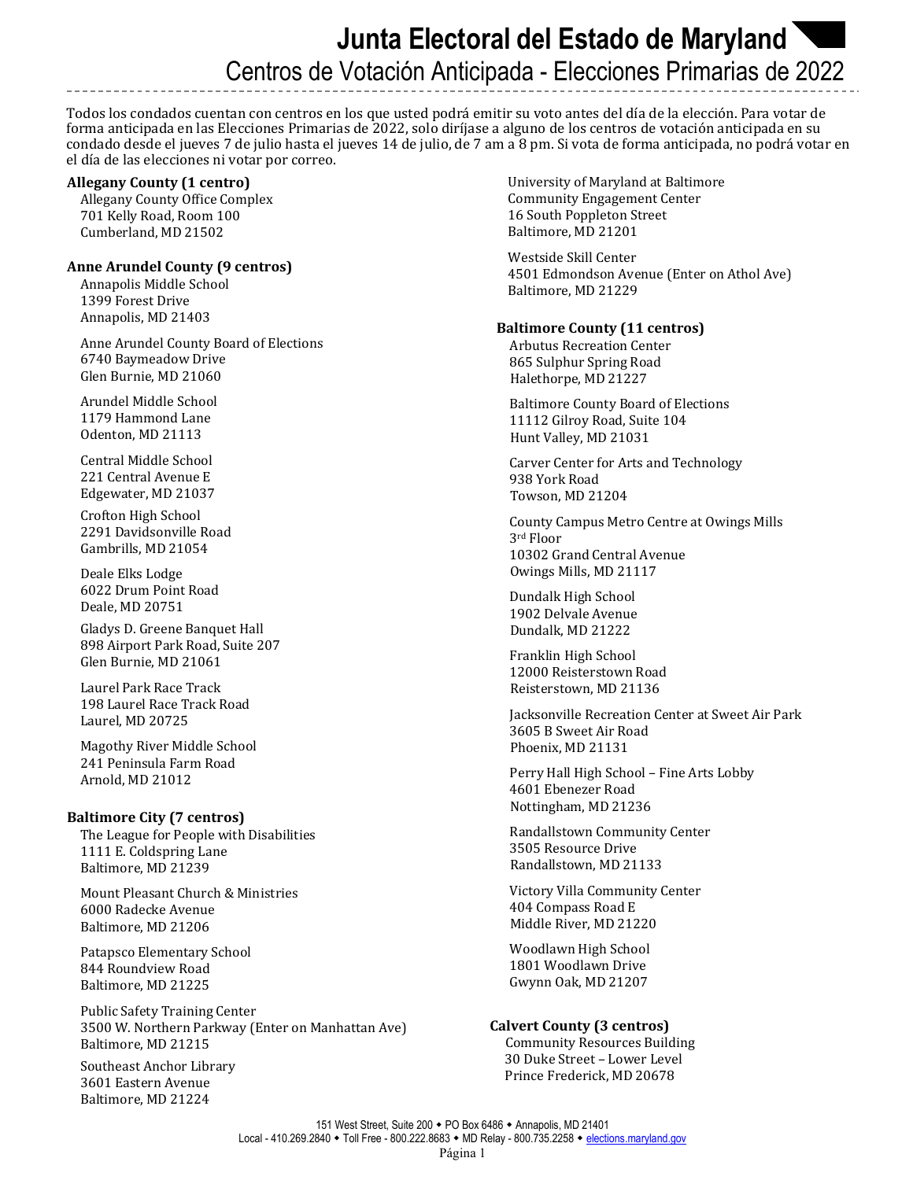# **Junta Electoral del Estado de Maryland**  Centros de Votación Anticipada - Elecciones Primarias de 2022

Todos los condados cuentan con centros en los que usted podrá emitir su voto antes del día de la elección. Para votar de forma anticipada en las Elecciones Primarias de 2022, solo diríjase a alguno de los centros de votación anticipada en su condado desde el jueves 7 de julio hasta el jueves 14 de julio, de 7 am a 8 pm. Si vota de forma anticipada, no podrá votar en el día de las elecciones ni votar por correo.

#### **Allegany County (1 centro)**

Allegany County Office Complex 701 Kelly Road, Room 100 Cumberland, MD 21502

# **Anne Arundel County (9 centros)**

Annapolis Middle School 1399 Forest Drive Annapolis, MD 21403

Anne Arundel County Board of Elections 6740 Baymeadow Drive Glen Burnie, MD 21060

Arundel Middle School 1179 Hammond Lane Odenton, MD 21113

Central Middle School 221 Central Avenue E Edgewater, MD 21037

Crofton High School 2291 Davidsonville Road Gambrills, MD 21054

Deale Elks Lodge 6022 Drum Point Road Deale, MD 20751

Gladys D. Greene Banquet Hall 898 Airport Park Road, Suite 207 Glen Burnie, MD 21061

Laurel Park Race Track 198 Laurel Race Track Road Laurel, MD 20725

Magothy River Middle School 241 Peninsula Farm Road Arnold, MD 21012

# **Baltimore City (7 centros)**

The League for People with Disabilities 1111 E. Coldspring Lane Baltimore, MD 21239

Mount Pleasant Church & Ministries 6000 Radecke Avenue Baltimore, MD 21206

Patapsco Elementary School 844 Roundview Road Baltimore, MD 21225

Public Safety Training Center 3500 W. Northern Parkway (Enter on Manhattan Ave) Baltimore, MD 21215

Southeast Anchor Library 3601 Eastern Avenue Baltimore, MD 21224

 University of Maryland at Baltimore Community Engagement Center 16 South Poppleton Street Baltimore, MD 21201

 Westside Skill Center 4501 Edmondson Avenue (Enter on Athol Ave) Baltimore, MD 21229

# **Baltimore County (11 centros)**

Arbutus Recreation Center 865 Sulphur Spring Road Halethorpe, MD 21227

Baltimore County Board of Elections 11112 Gilroy Road, Suite 104 Hunt Valley, MD 21031

Carver Center for Arts and Technology 938 York Road Towson, MD 21204

County Campus Metro Centre at Owings Mills 3rd Floor 10302 Grand Central Avenue Owings Mills, MD 21117

Dundalk High School 1902 Delvale Avenue Dundalk, MD 21222

Franklin High School 12000 Reisterstown Road Reisterstown, MD 21136

Jacksonville Recreation Center at Sweet Air Park 3605 B Sweet Air Road Phoenix, MD 21131

Perry Hall High School – Fine Arts Lobby 4601 Ebenezer Road Nottingham, MD 21236

Randallstown Community Center 3505 Resource Drive Randallstown, MD 21133

Victory Villa Community Center 404 Compass Road E Middle River, MD 21220

Woodlawn High School 1801 Woodlawn Drive Gwynn Oak, MD 21207

# **Calvert County (3 centros)**

 Community Resources Building 30 Duke Street – Lower Level Prince Frederick, MD 20678

151 West Street, Suite 200 • PO Box 6486 • Annapolis, MD 21401 Local - 410.269.2840 • Toll Free - 800.222.8683 • MD Relay - 800.735.2258 • elections.maryland.gov Página 1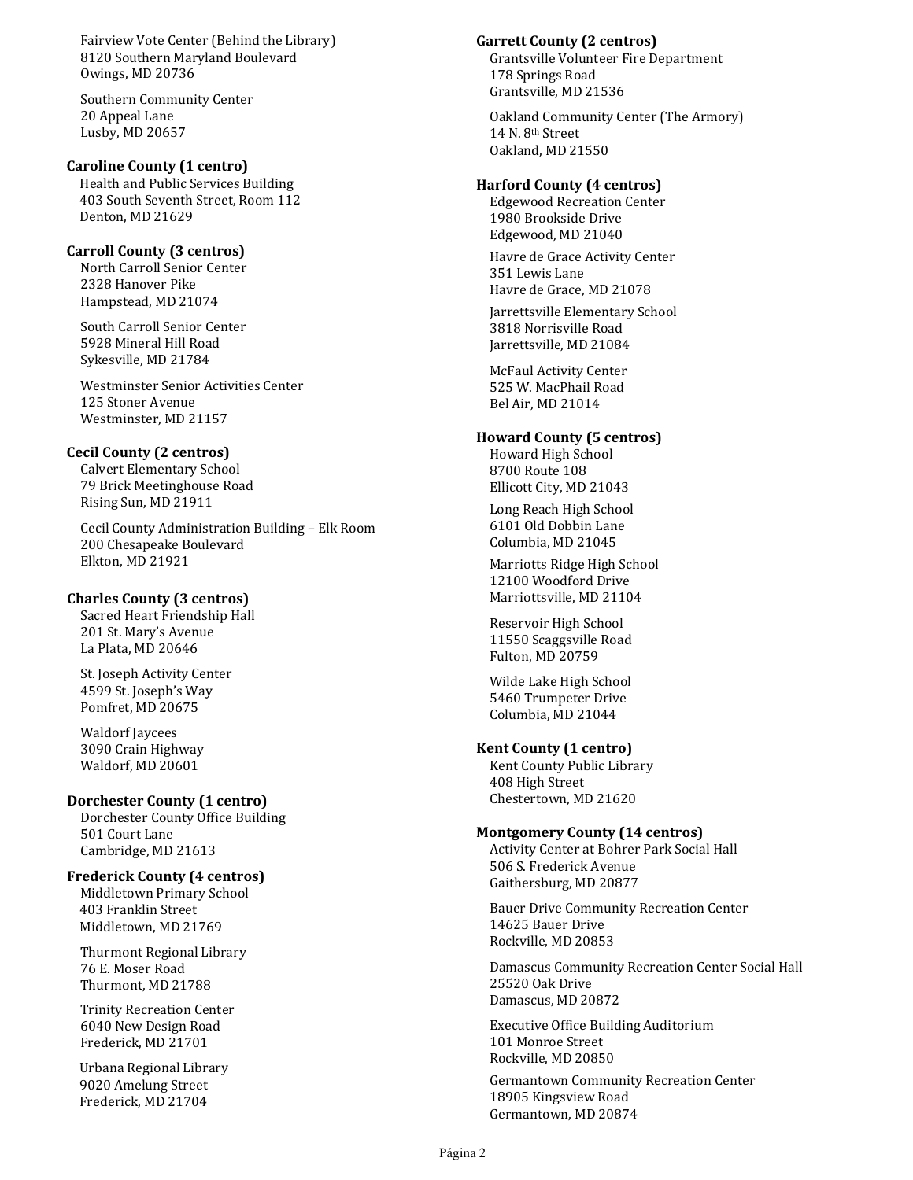Fairview Vote Center (Behind the Library) 8120 Southern Maryland Boulevard Owings, MD 20736

Southern Community Center 20 Appeal Lane Lusby, MD 20657

# **Caroline County (1 centro)**

Health and Public Services Building 403 South Seventh Street, Room 112 Denton, MD 21629

#### **Carroll County (3 centros)**

North Carroll Senior Center 2328 Hanover Pike Hampstead, MD 21074

South Carroll Senior Center 5928 Mineral Hill Road Sykesville, MD 21784

Westminster Senior Activities Center 125 Stoner Avenue Westminster, MD 21157

## **Cecil County (2 centros)**

Calvert Elementary School 79 Brick Meetinghouse Road Rising Sun, MD 21911

Cecil County Administration Building – Elk Room 200 Chesapeake Boulevard Elkton, MD 21921

#### **Charles County (3 centros)**

Sacred Heart Friendship Hall 201 St. Mary's Avenue La Plata, MD 20646

St. Joseph Activity Center 4599 St. Joseph's Way Pomfret, MD 20675

Waldorf Jaycees 3090 Crain Highway Waldorf, MD 20601

#### **Dorchester County (1 centro)**

Dorchester County Office Building 501 Court Lane Cambridge, MD 21613

## **Frederick County (4 centros)**

Middletown Primary School 403 Franklin Street Middletown, MD 21769

Thurmont Regional Library 76 E. Moser Road Thurmont, MD 21788

Trinity Recreation Center 6040 New Design Road Frederick, MD 21701

 Urbana Regional Library 9020 Amelung Street Frederick, MD 21704

#### **Garrett County (2 centros)**

Grantsville Volunteer Fire Department 178 Springs Road Grantsville, MD 21536

Oakland Community Center (The Armory) 14 N. 8<sup>th</sup> Street Oakland, MD 21550

#### **Harford County (4 centros)**

Edgewood Recreation Center 1980 Brookside Drive Edgewood, MD 21040

Havre de Grace Activity Center 351 Lewis Lane Havre de Grace, MD 21078

Jarrettsville Elementary School 3818 Norrisville Road Jarrettsville, MD 21084

McFaul Activity Center 525 W. MacPhail Road Bel Air, MD 21014

#### **Howard County (5 centros)**

Howard High School 8700 Route 108 Ellicott City, MD 21043

Long Reach High School 6101 Old Dobbin Lane Columbia, MD 21045

Marriotts Ridge High School 12100 Woodford Drive Marriottsville, MD 21104

Reservoir High School 11550 Scaggsville Road Fulton, MD 20759

Wilde Lake High School 5460 Trumpeter Drive Columbia, MD 21044

#### **Kent County (1 centro)**

Kent County Public Library 408 High Street Chestertown, MD 21620

#### **Montgomery County (14 centros)**

Activity Center at Bohrer Park Social Hall 506 S. Frederick Avenue Gaithersburg, MD 20877

Bauer Drive Community Recreation Center 14625 Bauer Drive Rockville, MD 20853

Damascus Community Recreation Center Social Hall 25520 Oak Drive Damascus, MD 20872

Executive Office Building Auditorium 101 Monroe Street Rockville, MD 20850

Germantown Community Recreation Center 18905 Kingsview Road Germantown, MD 20874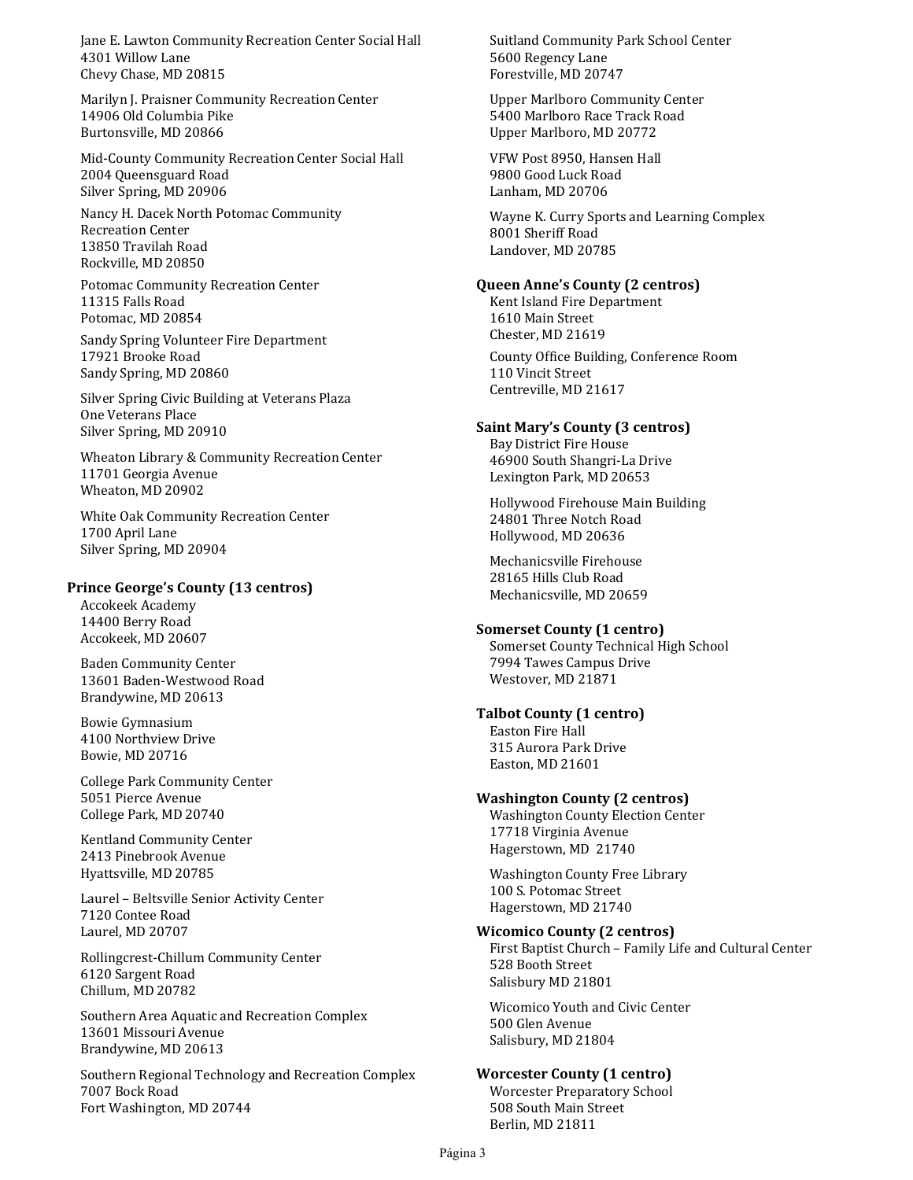Jane E. Lawton Community Recreation Center Social Hall 4301 Willow Lane Chevy Chase, MD 20815

Marilyn J. Praisner Community Recreation Center 14906 Old Columbia Pike Burtonsville, MD 20866

Mid-County Community Recreation Center Social Hall 2004 Queensguard Road Silver Spring, MD 20906

Nancy H. Dacek North Potomac Community Recreation Center 13850 Travilah Road Rockville, MD 20850

Potomac Community Recreation Center 11315 Falls Road Potomac, MD 20854

Sandy Spring Volunteer Fire Department 17921 Brooke Road Sandy Spring, MD 20860

Silver Spring Civic Building at Veterans Plaza One Veterans Place Silver Spring, MD 20910

Wheaton Library & Community Recreation Center 11701 Georgia Avenue Wheaton, MD 20902

White Oak Community Recreation Center 1700 April Lane Silver Spring, MD 20904

#### **Prince George's County (13 centros)**

Accokeek Academy 14400 Berry Road Accokeek, MD 20607

Baden Community Center 13601 Baden-Westwood Road Brandywine, MD 20613

Bowie Gymnasium 4100 Northview Drive Bowie, MD 20716

College Park Community Center 5051 Pierce Avenue College Park, MD 20740

Kentland Community Center 2413 Pinebrook Avenue Hyattsville, MD 20785

Laurel – Beltsville Senior Activity Center 7120 Contee Road Laurel, MD 20707

Rollingcrest-Chillum Community Center 6120 Sargent Road Chillum, MD 20782

Southern Area Aquatic and Recreation Complex 13601 Missouri Avenue Brandywine, MD 20613

Southern Regional Technology and Recreation Complex 7007 Bock Road Fort Washington, MD 20744

Suitland Community Park School Center 5600 Regency Lane Forestville, MD 20747

Upper Marlboro Community Center 5400 Marlboro Race Track Road Upper Marlboro, MD 20772

VFW Post 8950, Hansen Hall 9800 Good Luck Road Lanham, MD 20706

Wayne K. Curry Sports and Learning Complex 8001 Sheriff Road Landover, MD 20785

# **Queen Anne's County (2 centros)**

Kent Island Fire Department 1610 Main Street Chester, MD 21619 County Office Building, Conference Room

110 Vincit Street Centreville, MD 21617

# **Saint Mary's County (3 centros)**

Bay District Fire House 46900 South Shangri-La Drive Lexington Park, MD 20653

Hollywood Firehouse Main Building 24801 Three Notch Road Hollywood, MD 20636

Mechanicsville Firehouse 28165 Hills Club Road Mechanicsville, MD 20659

# **Somerset County (1 centro)**

Somerset County Technical High School 7994 Tawes Campus Drive Westover, MD 21871

# **Talbot County (1 centro)**

Easton Fire Hall 315 Aurora Park Drive Easton, MD 21601

# **Washington County (2 centros)**

Washington County Election Center 17718 Virginia Avenue Hagerstown, MD 21740

Washington County Free Library 100 S. Potomac Street Hagerstown, MD 21740

# **Wicomico County (2 centros)**

First Baptist Church – Family Life and Cultural Center 528 Booth Street Salisbury MD 21801

Wicomico Youth and Civic Center 500 Glen Avenue Salisbury, MD 21804

# **Worcester County (1 centro)**

Worcester Preparatory School 508 South Main Street Berlin, MD 21811